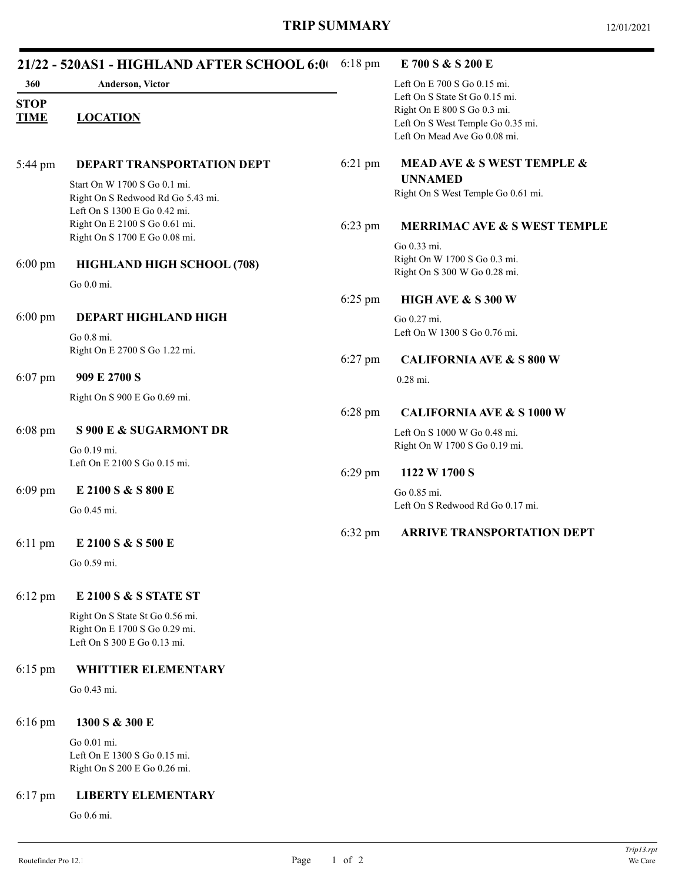|                            | 21/22 - 520AS1 - HIGHLAND AFTER SCHOOL 6:0                                                        | 6:18 pm           | E 700 S & S 200 E                                                                                                                  |
|----------------------------|---------------------------------------------------------------------------------------------------|-------------------|------------------------------------------------------------------------------------------------------------------------------------|
| 360                        | Anderson, Victor                                                                                  |                   | Left On E 700 S Go 0.15 mi.                                                                                                        |
| <b>STOP</b><br><b>TIME</b> | <b>LOCATION</b>                                                                                   |                   | Left On S State St Go 0.15 mi.<br>Right On E 800 S Go 0.3 mi.<br>Left On S West Temple Go 0.35 mi.<br>Left On Mead Ave Go 0.08 mi. |
| 5:44 pm                    | DEPART TRANSPORTATION DEPT                                                                        | 6:21 pm           | MEAD AVE & S WEST TEMPLE &                                                                                                         |
|                            | Start On W 1700 S Go 0.1 mi.<br>Right On S Redwood Rd Go 5.43 mi.<br>Left On S 1300 E Go 0.42 mi. |                   | <b>UNNAMED</b><br>Right On S West Temple Go 0.61 mi.                                                                               |
|                            | Right On E 2100 S Go 0.61 mi.<br>Right On S 1700 E Go 0.08 mi.                                    | $6:23$ pm         | <b>MERRIMAC AVE &amp; S WEST TEMPLE</b>                                                                                            |
| $6:00 \text{ pm}$          | HIGHLAND HIGH SCHOOL (708)                                                                        |                   | Go 0.33 mi.<br>Right On W 1700 S Go 0.3 mi.<br>Right On S 300 W Go 0.28 mi.                                                        |
|                            | Go 0.0 mi.                                                                                        | $6:25$ pm         | HIGH AVE & S 300 W                                                                                                                 |
| $6:00$ pm                  | DEPART HIGHLAND HIGH                                                                              |                   | Go 0.27 mi.                                                                                                                        |
|                            | Go 0.8 mi.<br>Right On E 2700 S Go 1.22 mi.                                                       |                   | Left On W 1300 S Go 0.76 mi.                                                                                                       |
| $6:07$ pm                  | 909 E 2700 S                                                                                      | $6:27$ pm         | <b>CALIFORNIA AVE &amp; S 800 W</b><br>0.28 mi.                                                                                    |
|                            | Right On S 900 E Go 0.69 mi.                                                                      |                   |                                                                                                                                    |
| $6:08$ pm                  | <b>S 900 E &amp; SUGARMONT DR</b>                                                                 | 6:28 pm           | <b>CALIFORNIA AVE &amp; S 1000 W</b><br>Left On S 1000 W Go 0.48 mi.<br>Right On W 1700 S Go 0.19 mi.                              |
|                            | Go 0.19 mi.<br>Left On E 2100 S Go 0.15 mi.                                                       | $6:29$ pm         |                                                                                                                                    |
|                            |                                                                                                   |                   | 1122 W 1700 S                                                                                                                      |
| $6:09$ pm                  | E 2100 S & S 800 E<br>Go 0.45 mi.                                                                 |                   | Go 0.85 mi.<br>Left On S Redwood Rd Go 0.17 mi.                                                                                    |
|                            |                                                                                                   | $6:32 \text{ pm}$ | <b>ARRIVE TRANSPORTATION DEPT</b>                                                                                                  |
| $6:11$ pm                  | E 2100 S & S 500 E<br>Go 0.59 mi.                                                                 |                   |                                                                                                                                    |
|                            |                                                                                                   |                   |                                                                                                                                    |
| $6:12 \text{ pm}$          | E 2100 S & S STATE ST                                                                             |                   |                                                                                                                                    |
|                            | Right On S State St Go 0.56 mi.<br>Right On E 1700 S Go 0.29 mi.<br>Left On S 300 E Go 0.13 mi.   |                   |                                                                                                                                    |
| $6:15$ pm                  | WHITTIER ELEMENTARY                                                                               |                   |                                                                                                                                    |
|                            | Go 0.43 mi.                                                                                       |                   |                                                                                                                                    |
| $6:16$ pm                  | 1300 S & 300 E                                                                                    |                   |                                                                                                                                    |
|                            | Go 0.01 mi.<br>Left On E 1300 S Go 0.15 mi.<br>Right On S 200 E Go 0.26 mi.                       |                   |                                                                                                                                    |
| $6:17$ pm                  | <b>LIBERTY ELEMENTARY</b>                                                                         |                   |                                                                                                                                    |
|                            | Go 0.6 mi.                                                                                        |                   |                                                                                                                                    |